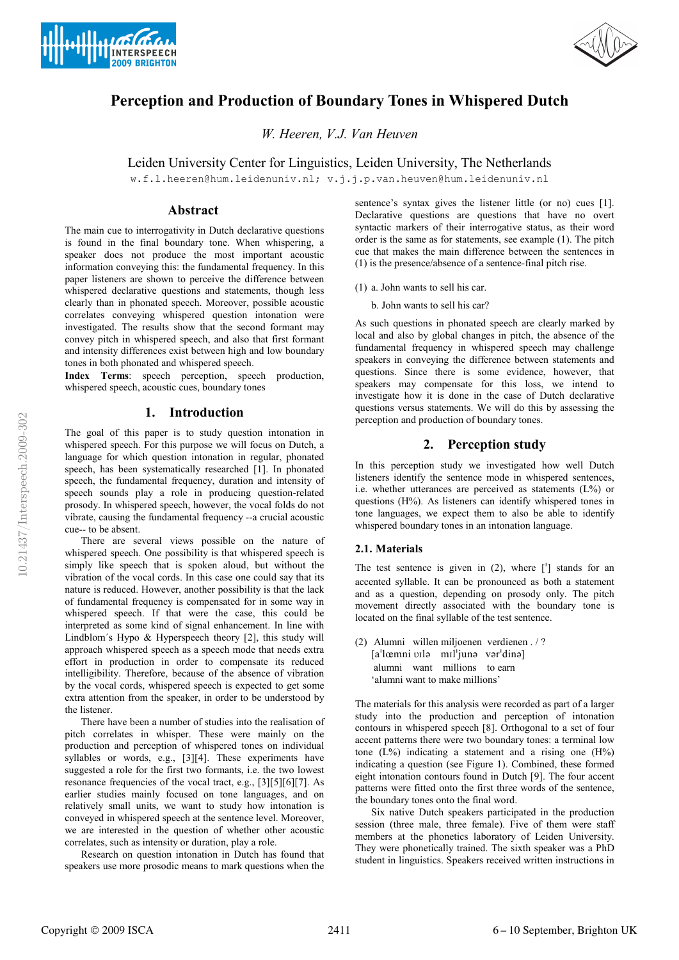



# Perception and Production of Boundary Tones in Whispered Dutch

W. Heeren, V.J. Van Heuven

Leiden University Center for Linguistics, Leiden University, The Netherlands

w.f.l.heeren@hum.leidenuniv.nl; v.j.j.p.van.heuven@hum.leidenuniv.nl

# Abstract

The main cue to interrogativity in Dutch declarative questions is found in the final boundary tone. When whispering, a speaker does not produce the most important acoustic information conveying this: the fundamental frequency. In this paper listeners are shown to perceive the difference between whispered declarative questions and statements, though less clearly than in phonated speech. Moreover, possible acoustic correlates conveying whispered question intonation were investigated. The results show that the second formant may convey pitch in whispered speech, and also that first formant and intensity differences exist between high and low boundary tones in both phonated and whispered speech.

Index Terms: speech perception, speech production, whispered speech, acoustic cues, boundary tones

# 1. Introduction

The goal of this paper is to study question intonation in whispered speech. For this purpose we will focus on Dutch, a language for which question intonation in regular, phonated speech, has been systematically researched [1]. In phonated speech, the fundamental frequency, duration and intensity of speech sounds play a role in producing question-related prosody. In whispered speech, however, the vocal folds do not vibrate, causing the fundamental frequency --a crucial acoustic cue-- to be absent.

There are several views possible on the nature of whispered speech. One possibility is that whispered speech is simply like speech that is spoken aloud, but without the vibration of the vocal cords. In this case one could say that its nature is reduced. However, another possibility is that the lack of fundamental frequency is compensated for in some way in whispered speech. If that were the case, this could be interpreted as some kind of signal enhancement. In line with Lindblom´s Hypo & Hyperspeech theory [2], this study will approach whispered speech as a speech mode that needs extra effort in production in order to compensate its reduced intelligibility. Therefore, because of the absence of vibration by the vocal cords, whispered speech is expected to get some extra attention from the speaker, in order to be understood by the listener.

There have been a number of studies into the realisation of pitch correlates in whisper. These were mainly on the production and perception of whispered tones on individual syllables or words, e.g., [3][4]. These experiments have suggested a role for the first two formants, i.e. the two lowest resonance frequencies of the vocal tract, e.g., [3][5][6][7]. As earlier studies mainly focused on tone languages, and on relatively small units, we want to study how intonation is conveyed in whispered speech at the sentence level. Moreover, we are interested in the question of whether other acoustic correlates, such as intensity or duration, play a role.

Research on question intonation in Dutch has found that speakers use more prosodic means to mark questions when the sentence's syntax gives the listener little (or no) cues [1]. Declarative questions are questions that have no overt syntactic markers of their interrogative status, as their word order is the same as for statements, see example (1). The pitch cue that makes the main difference between the sentences in (1) is the presence/absence of a sentence-final pitch rise.

(1) a. John wants to sell his car.

b. John wants to sell his car?

As such questions in phonated speech are clearly marked by local and also by global changes in pitch, the absence of the fundamental frequency in whispered speech may challenge speakers in conveying the difference between statements and questions. Since there is some evidence, however, that speakers may compensate for this loss, we intend to investigate how it is done in the case of Dutch declarative questions versus statements. We will do this by assessing the perception and production of boundary tones.

# 2. Perception study

In this perception study we investigated how well Dutch listeners identify the sentence mode in whispered sentences, i.e. whether utterances are perceived as statements (L%) or questions (H%). As listeners can identify whispered tones in tone languages, we expect them to also be able to identify whispered boundary tones in an intonation language.

## 2.1. Materials

The test sentence is given in  $(2)$ , where  $\lceil \cdot \rceil$  stands for an accented syllable. It can be pronounced as both a statement and as a question, depending on prosody only. The pitch movement directly associated with the boundary tone is located on the final syllable of the test sentence.

(2) Alumni willen miljoenen verdienen . / ?  $[a^{\dagger}$ lœmni vilə mil<sup>i</sup>junə vər $\text{dim}$ ] alumni want millions to earn 'alumni want to make millions'

The materials for this analysis were recorded as part of a larger study into the production and perception of intonation contours in whispered speech [8]. Orthogonal to a set of four accent patterns there were two boundary tones: a terminal low tone  $(L\%)$  indicating a statement and a rising one  $(H\%)$ indicating a question (see Figure 1). Combined, these formed eight intonation contours found in Dutch [9]. The four accent patterns were fitted onto the first three words of the sentence, the boundary tones onto the final word.

Six native Dutch speakers participated in the production session (three male, three female). Five of them were staff members at the phonetics laboratory of Leiden University. They were phonetically trained. The sixth speaker was a PhD student in linguistics. Speakers received written instructions in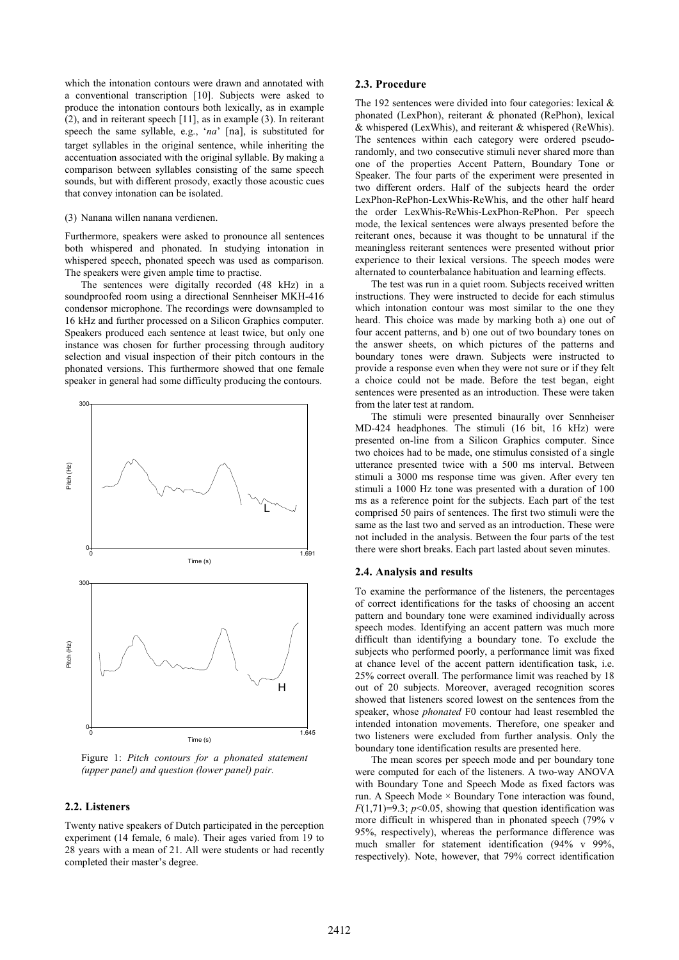which the intonation contours were drawn and annotated with a conventional transcription [10]. Subjects were asked to produce the intonation contours both lexically, as in example (2), and in reiterant speech [11], as in example (3). In reiterant speech the same syllable, e.g., 'na' [na], is substituted for target syllables in the original sentence, while inheriting the accentuation associated with the original syllable. By making a comparison between syllables consisting of the same speech sounds, but with different prosody, exactly those acoustic cues that convey intonation can be isolated.

#### (3) Nanana willen nanana verdienen.

Furthermore, speakers were asked to pronounce all sentences both whispered and phonated. In studying intonation in whispered speech, phonated speech was used as comparison. The speakers were given ample time to practise.

The sentences were digitally recorded (48 kHz) in a soundproofed room using a directional Sennheiser MKH-416 condensor microphone. The recordings were downsampled to 16 kHz and further processed on a Silicon Graphics computer. Speakers produced each sentence at least twice, but only one instance was chosen for further processing through auditory selection and visual inspection of their pitch contours in the phonated versions. This furthermore showed that one female speaker in general had some difficulty producing the contours.



Figure 1: Pitch contours for a phonated statement (upper panel) and question (lower panel) pair.

## 2.2. Listeners

Twenty native speakers of Dutch participated in the perception experiment (14 female, 6 male). Their ages varied from 19 to 28 years with a mean of 21. All were students or had recently completed their master's degree.

## 2.3. Procedure

The 192 sentences were divided into four categories: lexical & phonated (LexPhon), reiterant & phonated (RePhon), lexical & whispered (LexWhis), and reiterant & whispered (ReWhis). The sentences within each category were ordered pseudorandomly, and two consecutive stimuli never shared more than one of the properties Accent Pattern, Boundary Tone or Speaker. The four parts of the experiment were presented in two different orders. Half of the subjects heard the order LexPhon-RePhon-LexWhis-ReWhis, and the other half heard the order LexWhis-ReWhis-LexPhon-RePhon. Per speech mode, the lexical sentences were always presented before the reiterant ones, because it was thought to be unnatural if the meaningless reiterant sentences were presented without prior experience to their lexical versions. The speech modes were alternated to counterbalance habituation and learning effects.

The test was run in a quiet room. Subjects received written instructions. They were instructed to decide for each stimulus which intonation contour was most similar to the one they heard. This choice was made by marking both a) one out of four accent patterns, and b) one out of two boundary tones on the answer sheets, on which pictures of the patterns and boundary tones were drawn. Subjects were instructed to provide a response even when they were not sure or if they felt a choice could not be made. Before the test began, eight sentences were presented as an introduction. These were taken from the later test at random.

The stimuli were presented binaurally over Sennheiser MD-424 headphones. The stimuli (16 bit, 16 kHz) were presented on-line from a Silicon Graphics computer. Since two choices had to be made, one stimulus consisted of a single utterance presented twice with a 500 ms interval. Between stimuli a 3000 ms response time was given. After every ten stimuli a 1000 Hz tone was presented with a duration of 100 ms as a reference point for the subjects. Each part of the test comprised 50 pairs of sentences. The first two stimuli were the same as the last two and served as an introduction. These were not included in the analysis. Between the four parts of the test there were short breaks. Each part lasted about seven minutes.

#### 2.4. Analysis and results

To examine the performance of the listeners, the percentages of correct identifications for the tasks of choosing an accent pattern and boundary tone were examined individually across speech modes. Identifying an accent pattern was much more difficult than identifying a boundary tone. To exclude the subjects who performed poorly, a performance limit was fixed at chance level of the accent pattern identification task, i.e. 25% correct overall. The performance limit was reached by 18 out of 20 subjects. Moreover, averaged recognition scores showed that listeners scored lowest on the sentences from the speaker, whose phonated F0 contour had least resembled the intended intonation movements. Therefore, one speaker and two listeners were excluded from further analysis. Only the boundary tone identification results are presented here.

The mean scores per speech mode and per boundary tone were computed for each of the listeners. A two-way ANOVA with Boundary Tone and Speech Mode as fixed factors was run. A Speech Mode × Boundary Tone interaction was found,  $F(1,71)=9.3$ ;  $p<0.05$ , showing that question identification was more difficult in whispered than in phonated speech (79% v 95%, respectively), whereas the performance difference was much smaller for statement identification (94% v 99%, respectively). Note, however, that 79% correct identification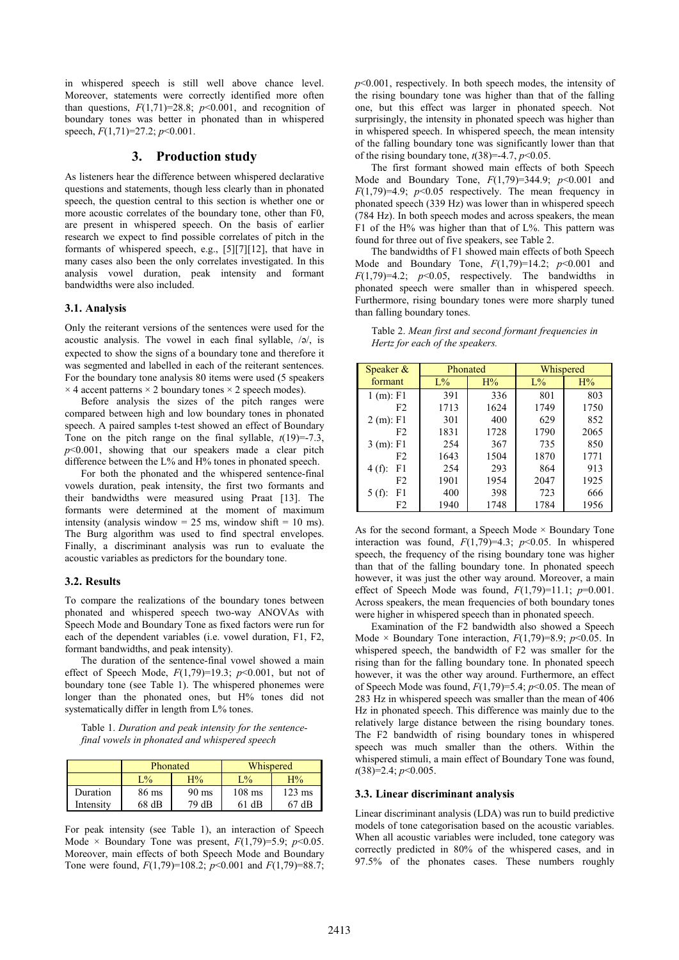in whispered speech is still well above chance level. Moreover, statements were correctly identified more often than questions,  $F(1,71)=28.8$ ;  $p<0.001$ , and recognition of boundary tones was better in phonated than in whispered speech,  $F(1,71)=27.2$ ;  $p<0.001$ .

# 3. Production study

As listeners hear the difference between whispered declarative questions and statements, though less clearly than in phonated speech, the question central to this section is whether one or more acoustic correlates of the boundary tone, other than F0, are present in whispered speech. On the basis of earlier research we expect to find possible correlates of pitch in the formants of whispered speech, e.g., [5][7][12], that have in many cases also been the only correlates investigated. In this analysis vowel duration, peak intensity and formant bandwidths were also included.

## 3.1. Analysis

Only the reiterant versions of the sentences were used for the acoustic analysis. The vowel in each final syllable,  $/\phi$ , is expected to show the signs of a boundary tone and therefore it was segmented and labelled in each of the reiterant sentences. For the boundary tone analysis 80 items were used (5 speakers  $\times$  4 accent patterns  $\times$  2 boundary tones  $\times$  2 speech modes).

Before analysis the sizes of the pitch ranges were compared between high and low boundary tones in phonated speech. A paired samples t-test showed an effect of Boundary Tone on the pitch range on the final syllable,  $t(19)=7.3$ ,  $p<0.001$ , showing that our speakers made a clear pitch difference between the L% and H% tones in phonated speech.

For both the phonated and the whispered sentence-final vowels duration, peak intensity, the first two formants and their bandwidths were measured using Praat [13]. The formants were determined at the moment of maximum intensity (analysis window = 25 ms, window shift = 10 ms). The Burg algorithm was used to find spectral envelopes. Finally, a discriminant analysis was run to evaluate the acoustic variables as predictors for the boundary tone.

#### 3.2. Results

To compare the realizations of the boundary tones between phonated and whispered speech two-way ANOVAs with Speech Mode and Boundary Tone as fixed factors were run for each of the dependent variables (i.e. vowel duration, F1, F2, formant bandwidths, and peak intensity).

The duration of the sentence-final vowel showed a main effect of Speech Mode,  $F(1,79)=19.3$ ;  $p<0.001$ , but not of boundary tone (see Table 1). The whispered phonemes were longer than the phonated ones, but H% tones did not systematically differ in length from  $L$ % tones.

Table 1. Duration and peak intensity for the sentencefinal vowels in phonated and whispered speech

|           | Phonated          |                 | Whispered |                  |
|-----------|-------------------|-----------------|-----------|------------------|
|           | $\mathcal{L}_{0}$ | H%              | L%        | H%               |
| Duration  | 86 ms             | $90 \text{ ms}$ | $108$ ms  | $123 \text{ ms}$ |
| Intensity | $68$ dB           | 79 dB           | 61 dB     | 67 dB            |

For peak intensity (see Table 1), an interaction of Speech Mode  $\times$  Boundary Tone was present,  $F(1,79)=5.9$ ;  $p<0.05$ . Moreover, main effects of both Speech Mode and Boundary Tone were found,  $F(1,79)=108.2$ ;  $p<0.001$  and  $F(1,79)=88.7$ ;  $p \le 0.001$ , respectively. In both speech modes, the intensity of the rising boundary tone was higher than that of the falling one, but this effect was larger in phonated speech. Not surprisingly, the intensity in phonated speech was higher than in whispered speech. In whispered speech, the mean intensity of the falling boundary tone was significantly lower than that of the rising boundary tone,  $t(38)=-4.7$ ,  $p<0.05$ .

The first formant showed main effects of both Speech Mode and Boundary Tone,  $F(1,79)=344.9$ ;  $p<0.001$  and  $F(1,79)=4.9$ ;  $p<0.05$  respectively. The mean frequency in phonated speech (339 Hz) was lower than in whispered speech (784 Hz). In both speech modes and across speakers, the mean F1 of the H% was higher than that of L%. This pattern was found for three out of five speakers, see Table 2.

The bandwidths of F1 showed main effects of both Speech Mode and Boundary Tone,  $F(1,79)=14.2$ ;  $p<0.001$  and  $F(1,79)=4.2$ ;  $p<0.05$ , respectively. The bandwidths in phonated speech were smaller than in whispered speech. Furthermore, rising boundary tones were more sharply tuned than falling boundary tones.

Table 2. Mean first and second formant frequencies in Hertz for each of the speakers.

| Speaker $\&$   | Phonated |      | Whispered |      |
|----------------|----------|------|-----------|------|
| formant        | $L\%$    | H%   | $L\%$     | H%   |
| $1(m)$ : F1    | 391      | 336  | 801       | 803  |
| F <sub>2</sub> | 1713     | 1624 | 1749      | 1750 |
| $2(m)$ : F1    | 301      | 400  | 629       | 852  |
| F <sub>2</sub> | 1831     | 1728 | 1790      | 2065 |
| $3(m)$ : F1    | 254      | 367  | 735       | 850  |
| F <sub>2</sub> | 1643     | 1504 | 1870      | 1771 |
| $4(f)$ :<br>F1 | 254      | 293  | 864       | 913  |
| F <sub>2</sub> | 1901     | 1954 | 2047      | 1925 |
| $5(f)$ :<br>F1 | 400      | 398  | 723       | 666  |
| F <sub>2</sub> | 1940     | 1748 | 1784      | 1956 |

As for the second formant, a Speech Mode  $\times$  Boundary Tone interaction was found,  $F(1,79)=4.3$ ;  $p<0.05$ . In whispered speech, the frequency of the rising boundary tone was higher than that of the falling boundary tone. In phonated speech however, it was just the other way around. Moreover, a main effect of Speech Mode was found,  $F(1,79)=11.1$ ;  $p=0.001$ . Across speakers, the mean frequencies of both boundary tones were higher in whispered speech than in phonated speech.

Examination of the F2 bandwidth also showed a Speech Mode  $\times$  Boundary Tone interaction,  $F(1,79)=8.9$ ;  $p<0.05$ . In whispered speech, the bandwidth of F2 was smaller for the rising than for the falling boundary tone. In phonated speech however, it was the other way around. Furthermore, an effect of Speech Mode was found,  $F(1,79)=5.4$ ;  $p<0.05$ . The mean of 283 Hz in whispered speech was smaller than the mean of 406 Hz in phonated speech. This difference was mainly due to the relatively large distance between the rising boundary tones. The F2 bandwidth of rising boundary tones in whispered speech was much smaller than the others. Within the whispered stimuli, a main effect of Boundary Tone was found,  $t(38)=2.4$ ;  $p<0.005$ .

## 3.3. Linear discriminant analysis

Linear discriminant analysis (LDA) was run to build predictive models of tone categorisation based on the acoustic variables. When all acoustic variables were included, tone category was correctly predicted in 80% of the whispered cases, and in 97.5% of the phonates cases. These numbers roughly